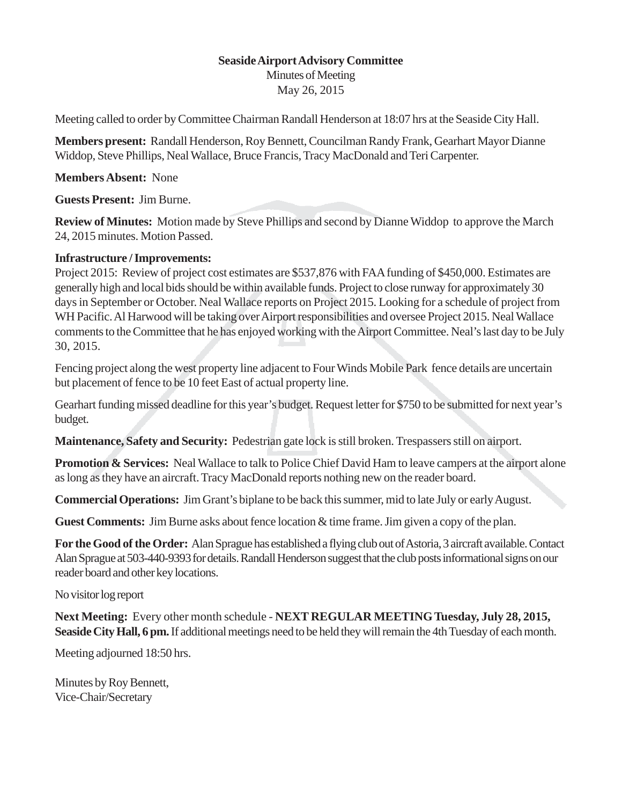## **Seaside Airport Advisory Committee**

Minutes of Meeting May 26, 2015

Meeting called to order by Committee Chairman Randall Henderson at 18:07 hrs at the Seaside City Hall.

**Members present:** Randall Henderson, Roy Bennett, Councilman Randy Frank, Gearhart Mayor Dianne Widdop, Steve Phillips, Neal Wallace, Bruce Francis, Tracy MacDonald and Teri Carpenter.

## **Members Absent:** None

**Guests Present:** Jim Burne.

**Review of Minutes:** Motion made by Steve Phillips and second by Dianne Widdop to approve the March 24, 2015 minutes. Motion Passed.

## **Infrastructure / Improvements:**

Project 2015: Review of project cost estimates are \$537,876 with FAA funding of \$450,000. Estimates are generally high and local bids should be within available funds. Project to close runway for approximately 30 days in September or October. Neal Wallace reports on Project 2015. Looking for a schedule of project from WH Pacific. Al Harwood will be taking over Airport responsibilities and oversee Project 2015. Neal Wallace comments to the Committee that he has enjoyed working with the Airport Committee. Neal's last day to be July 30, 2015.

Fencing project along the west property line adjacent to Four Winds Mobile Park fence details are uncertain but placement of fence to be 10 feet East of actual property line.

Gearhart funding missed deadline for this year's budget. Request letter for \$750 to be submitted for next year's budget.

**Maintenance, Safety and Security:** Pedestrian gate lock is still broken. Trespassers still on airport.

**Promotion & Services:** Neal Wallace to talk to Police Chief David Ham to leave campers at the airport alone as long as they have an aircraft. Tracy MacDonald reports nothing new on the reader board.

**Commercial Operations:** Jim Grant's biplane to be back this summer, mid to late July or early August.

**Guest Comments:** Jim Burne asks about fence location & time frame. Jim given a copy of the plan.

**For the Good of the Order:** Alan Sprague has established a flying club out of Astoria, 3 aircraft available. Contact Alan Sprague at 503-440-9393 for details. Randall Henderson suggest that the club posts informational signs on our reader board and other key locations.

No visitor log report

**Next Meeting:** Every other month schedule - **NEXT REGULAR MEETING Tuesday, July 28, 2015, Seaside City Hall, 6 pm.** If additional meetings need to be held they will remain the 4th Tuesday of each month.

Meeting adjourned 18:50 hrs.

Minutes by Roy Bennett, Vice-Chair/Secretary